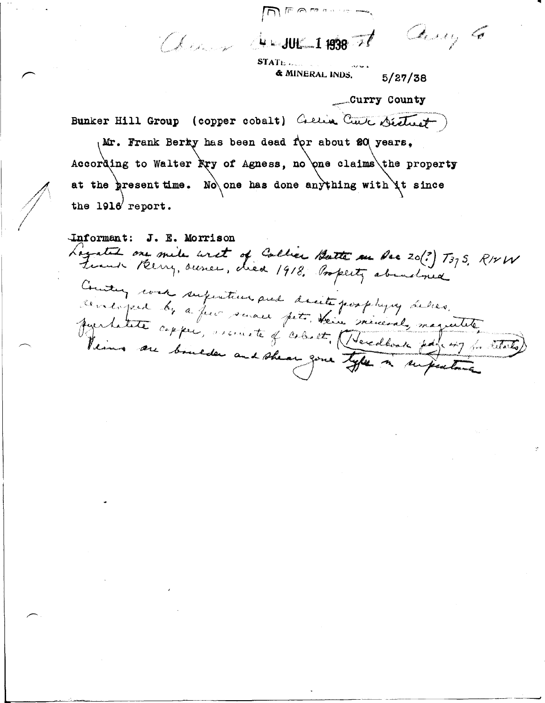and desure 1 1938 71 any 6

 $STATL$ .,,,,,,,  $\&$  MINERAL INDS.  $5/27/38$ 

\_Curry County

---· \_\_\_\_\_,

Bunker Hill Group ( copper cobalt) Cretin Curt District

Mr. Frank Berky has been dead for about 20 years, According to Walter  $\mathbb{R}$ ry of Agness, no one claims the property at the present time. No one has done anything with it since the  $1916$  report.

Informant: J. E. Morrison Loyated one mile unet of Callier Butter an Pre 20(?) T375, RIVW Counting work superition and decite postages delies. centique by a few senace pet their minimal magnetite. furtate copper, ascrite of coloret, (Veredonal, magnetite, Venins au boulder and shear gone type in supertine